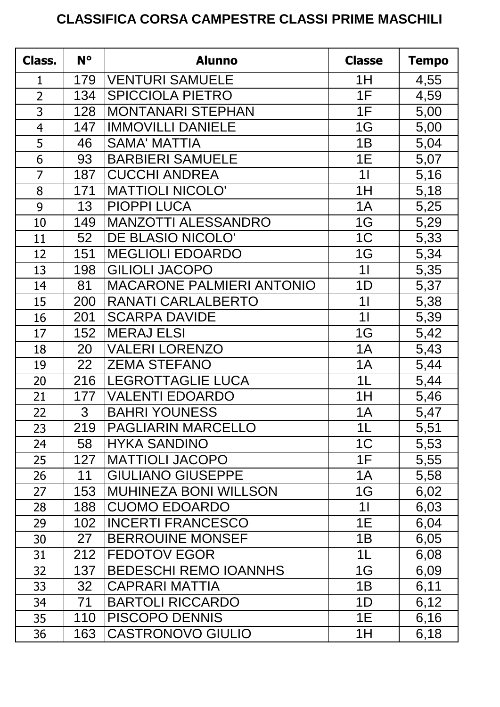## **CLASSIFICA CORSA CAMPESTRE CLASSI PRIME MASCHILI**

| Class.         | N°  | <b>Alunno</b>                    | <b>Classe</b>  | <b>Tempo</b> |
|----------------|-----|----------------------------------|----------------|--------------|
| $\mathbf{1}$   | 179 | <b>VENTURI SAMUELE</b>           | 1H             | 4,55         |
| $\overline{2}$ | 134 | <b>SPICCIOLA PIETRO</b>          | 1F             | 4,59         |
| 3              | 128 | <b>MONTANARI STEPHAN</b>         | 1F             | 5,00         |
| $\overline{4}$ | 147 | <b>IMMOVILLI DANIELE</b>         | 1G             | 5,00         |
| 5              | 46  | <b>SAMA' MATTIA</b>              | 1B             | 5,04         |
| 6              | 93  | <b>BARBIERI SAMUELE</b>          | 1E             | 5,07         |
| $\overline{7}$ | 187 | <b>CUCCHI ANDREA</b>             | 1 <sup>1</sup> | 5,16         |
| 8              | 171 | <b>MATTIOLI NICOLO'</b>          | 1H             | 5,18         |
| 9              | 13  | <b>PIOPPI LUCA</b>               | 1A             | 5,25         |
| 10             | 149 | <b>MANZOTTI ALESSANDRO</b>       | 1G             | 5,29         |
| 11             | 52  | DE BLASIO NICOLO'                | 1 <sup>C</sup> | 5,33         |
| 12             | 151 | <b>MEGLIOLI EDOARDO</b>          | 1G             | 5,34         |
| 13             | 198 | <b>GILIOLI JACOPO</b>            | 11             | 5,35         |
| 14             | 81  | <b>MACARONE PALMIERI ANTONIO</b> | 1D             | 5,37         |
| 15             | 200 | RANATI CARLALBERTO               | 1 <sup>1</sup> | 5,38         |
| 16             | 201 | <b>SCARPA DAVIDE</b>             | 11             | 5,39         |
| 17             | 152 | <b>MERAJ ELSI</b>                | 1G             | 5,42         |
| 18             | 20  | <b>VALERI LORENZO</b>            | 1A             | 5,43         |
| 19             | 22  | <b>ZEMA STEFANO</b>              | 1A             | 5,44         |
| 20             | 216 | <b>LEGROTTAGLIE LUCA</b>         | 1 <sub>L</sub> | 5,44         |
| 21             | 177 | <b>VALENTI EDOARDO</b>           | 1H             | 5,46         |
| 22             | 3   | <b>BAHRI YOUNESS</b>             | 1A             | 5,47         |
| 23             | 219 | <b>PAGLIARIN MARCELLO</b>        | 1L             | 5,51         |
| 24             | 58  | <b>HYKA SANDINO</b>              | 1 <sup>C</sup> | 5,53         |
| 25             | 127 | <b>MATTIOLI JACOPO</b>           | 1F             | 5,55         |
| 26             | 11  | <b>GIULIANO GIUSEPPE</b>         | 1A             | 5,58         |
| 27             | 153 | <b>MUHINEZA BONI WILLSON</b>     | 1G             | 6,02         |
| 28             | 188 | <b>CUOMO EDOARDO</b>             | 11             | 6,03         |
| 29             | 102 | <b>INCERTI FRANCESCO</b>         | 1E             | 6,04         |
| 30             | 27  | <b>BERROUINE MONSEF</b>          | 1B             | 6,05         |
| 31             | 212 | <b>FEDOTOV EGOR</b>              | 1L             | 6,08         |
| 32             | 137 | <b>BEDESCHI REMO IOANNHS</b>     | 1G             | 6,09         |
| 33             | 32  | <b>CAPRARI MATTIA</b>            | 1B             | 6,11         |
| 34             | 71  | <b>BARTOLI RICCARDO</b>          | 1D             | 6,12         |
| 35             | 110 | <b>PISCOPO DENNIS</b>            | 1E             | 6,16         |
| 36             | 163 | <b>CASTRONOVO GIULIO</b>         | 1H             | 6,18         |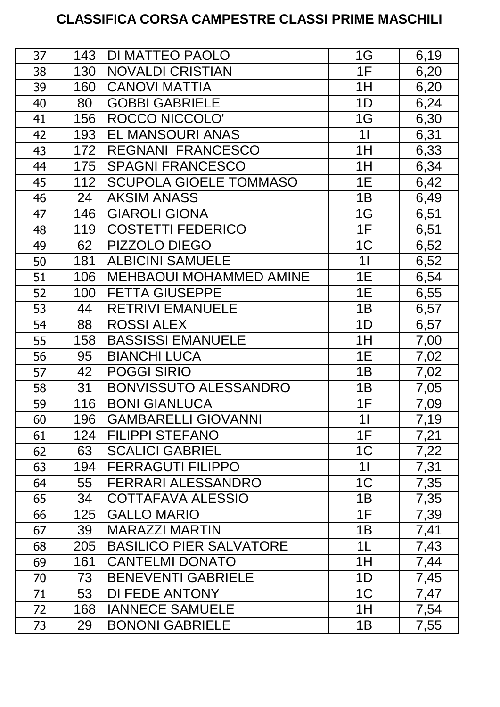## **CLASSIFICA CORSA CAMPESTRE CLASSI PRIME MASCHILI**

| 37 | 143 | <b>DI MATTEO PAOLO</b>         | 1G             | 6,19 |
|----|-----|--------------------------------|----------------|------|
| 38 | 130 | <b>NOVALDI CRISTIAN</b>        | 1F             | 6,20 |
| 39 | 160 | <b>CANOVI MATTIA</b>           | 1H             | 6,20 |
| 40 | 80  | <b>GOBBI GABRIELE</b>          | 1D             | 6,24 |
| 41 | 156 | <b>ROCCO NICCOLO'</b>          | 1G             | 6,30 |
| 42 | 193 | EL MANSOURI ANAS               | 11             | 6,31 |
| 43 | 172 | <b>REGNANI FRANCESCO</b>       | 1H             | 6,33 |
| 44 | 175 | <b>SPAGNI FRANCESCO</b>        | 1H             | 6,34 |
| 45 | 112 | <b>SCUPOLA GIOELE TOMMASO</b>  | 1E             | 6,42 |
| 46 | 24  | <b>AKSIM ANASS</b>             | 1B             | 6,49 |
| 47 | 146 | <b>GIAROLI GIONA</b>           | 1G             | 6,51 |
| 48 | 119 | <b>COSTETTI FEDERICO</b>       | 1F             | 6,51 |
| 49 | 62  | PIZZOLO DIEGO                  | 1 <sup>C</sup> | 6,52 |
| 50 | 181 | <b>ALBICINI SAMUELE</b>        | 1 <sub>l</sub> | 6,52 |
| 51 | 106 | <b>MEHBAOUI MOHAMMED AMINE</b> | 1E             | 6,54 |
| 52 | 100 | <b>FETTA GIUSEPPE</b>          | 1E             | 6,55 |
| 53 | 44  | <b>RETRIVI EMANUELE</b>        | 1B             | 6,57 |
| 54 | 88  | <b>ROSSI ALEX</b>              | 1D             | 6,57 |
| 55 | 158 | <b>BASSISSI EMANUELE</b>       | 1H             | 7,00 |
| 56 | 95  | <b>BIANCHI LUCA</b>            | 1E             | 7,02 |
| 57 | 42  | <b>POGGI SIRIO</b>             | 1B             | 7,02 |
| 58 | 31  | <b>BONVISSUTO ALESSANDRO</b>   | 1B             | 7,05 |
| 59 | 116 | <b>BONI GIANLUCA</b>           | 1F             | 7,09 |
| 60 | 196 | <b>GAMBARELLI GIOVANNI</b>     | 11             | 7,19 |
| 61 | 124 | <b>FILIPPI STEFANO</b>         | 1F             | 7,21 |
| 62 | 63  | <b>SCALICI GABRIEL</b>         | 1 <sup>C</sup> | 7,22 |
| 63 | 194 | <b>FERRAGUTI FILIPPO</b>       | 11             | 7,31 |
| 64 | 55  | <b>FERRARI ALESSANDRO</b>      | 1 <sup>C</sup> | 7,35 |
| 65 | 34  | COTTAFAVA ALESSIO              | 1B             | 7,35 |
| 66 | 125 | <b>GALLO MARIO</b>             | 1F             | 7,39 |
| 67 | 39  | <b>MARAZZI MARTIN</b>          | 1B             | 7,41 |
| 68 | 205 | <b>BASILICO PIER SALVATORE</b> | 1 <sub>L</sub> | 7,43 |
| 69 | 161 | <b>CANTELMI DONATO</b>         | 1H             | 7,44 |
| 70 | 73  | <b>BENEVENTI GABRIELE</b>      | 1D             | 7,45 |
| 71 | 53  | <b>DI FEDE ANTONY</b>          | 1 <sup>C</sup> | 7,47 |
| 72 | 168 | <b>IANNECE SAMUELE</b>         | 1H             | 7,54 |
| 73 | 29  | <b>BONONI GABRIELE</b>         | 1B             | 7,55 |